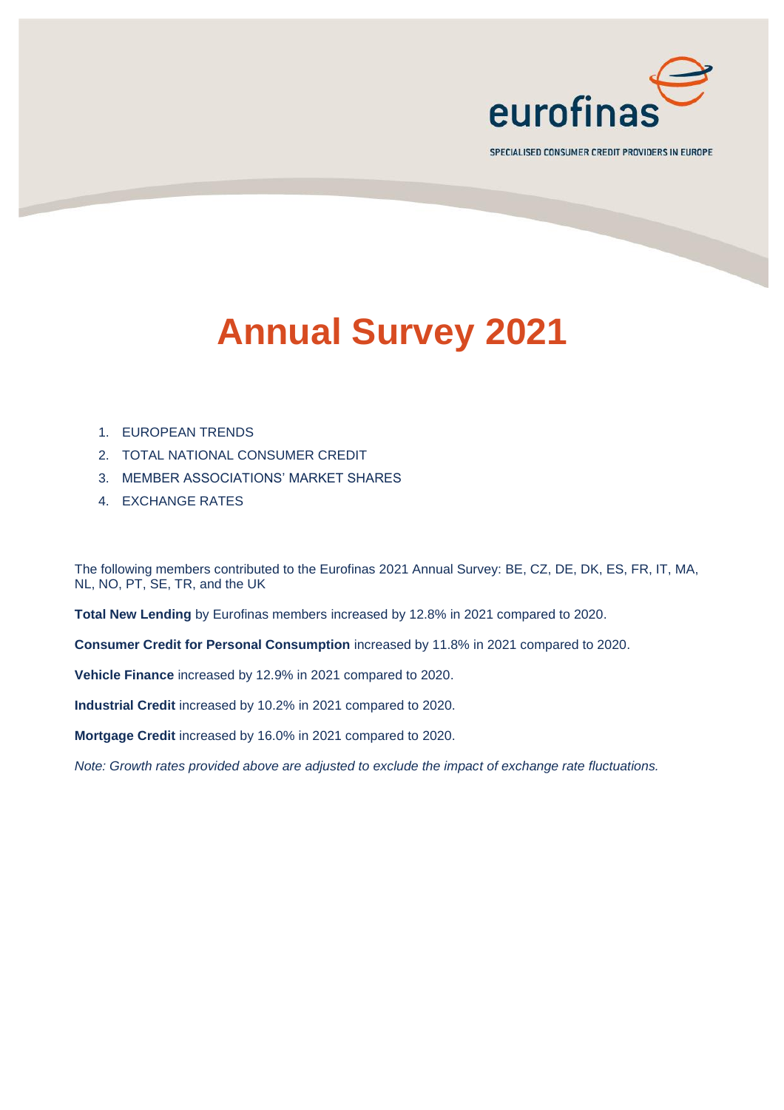

SPECIALISED CONSUMER CREDIT PROVIDERS IN EUROPE

# **Annual Survey 2021**

- 1. EUROPEAN TRENDS
- 2. TOTAL NATIONAL CONSUMER CREDIT
- 3. MEMBER ASSOCIATIONS' MARKET SHARES
- 4. EXCHANGE RATES

The following members contributed to the Eurofinas 2021 Annual Survey: BE, CZ, DE, DK, ES, FR, IT, MA, NL, NO, PT, SE, TR, and the UK

**Total New Lending** by Eurofinas members increased by 12.8% in 2021 compared to 2020.

**Consumer Credit for Personal Consumption** increased by 11.8% in 2021 compared to 2020.

**Vehicle Finance** increased by 12.9% in 2021 compared to 2020.

**Industrial Credit** increased by 10.2% in 2021 compared to 2020.

**Mortgage Credit** increased by 16.0% in 2021 compared to 2020.

*Note: Growth rates provided above are adjusted to exclude the impact of exchange rate fluctuations.*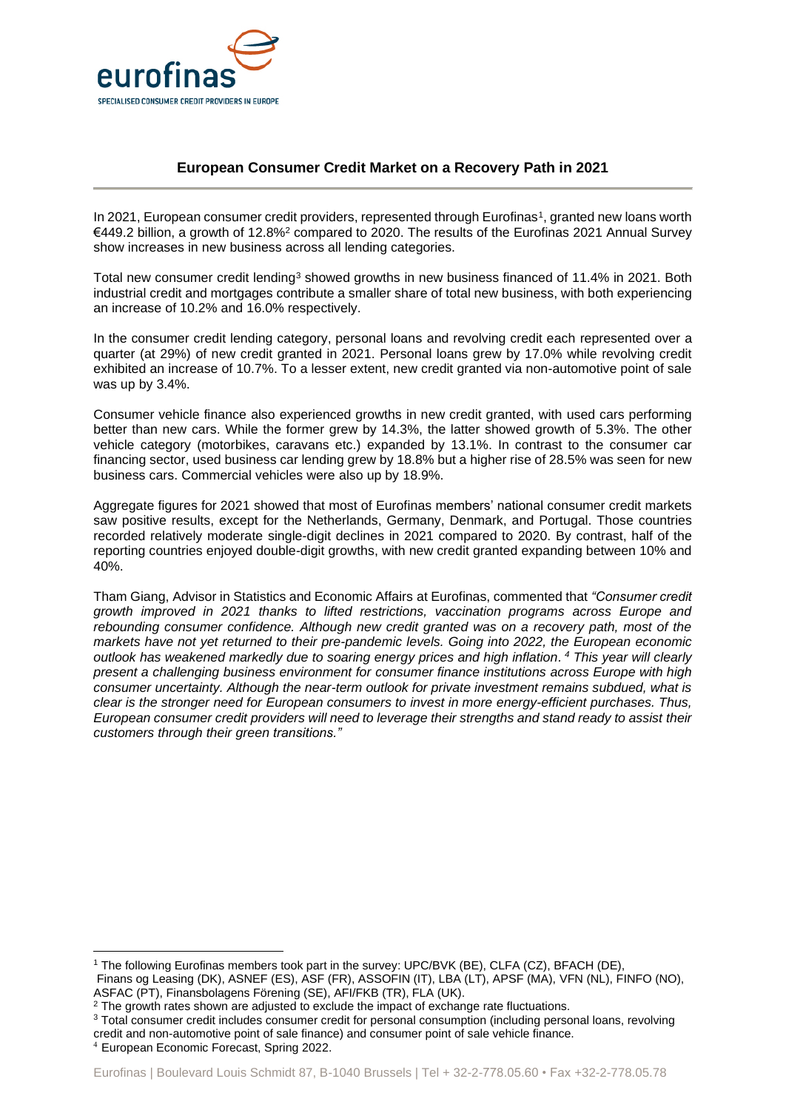

### **European Consumer Credit Market on a Recovery Path in 2021**

In 2021, European consumer credit providers, represented through Eurofinas<sup>1</sup>, granted new loans worth €449.2 billion, a growth of 12.8%<sup>2</sup> compared to 2020. The results of the Eurofinas 2021 Annual Survey show increases in new business across all lending categories.

Total new consumer credit lending<sup>3</sup> showed growths in new business financed of 11.4% in 2021. Both industrial credit and mortgages contribute a smaller share of total new business, with both experiencing an increase of 10.2% and 16.0% respectively.

In the consumer credit lending category, personal loans and revolving credit each represented over a quarter (at 29%) of new credit granted in 2021. Personal loans grew by 17.0% while revolving credit exhibited an increase of 10.7%. To a lesser extent, new credit granted via non-automotive point of sale was up by 3.4%.

Consumer vehicle finance also experienced growths in new credit granted, with used cars performing better than new cars. While the former grew by 14.3%, the latter showed growth of 5.3%. The other vehicle category (motorbikes, caravans etc.) expanded by 13.1%. In contrast to the consumer car financing sector, used business car lending grew by 18.8% but a higher rise of 28.5% was seen for new business cars. Commercial vehicles were also up by 18.9%.

Aggregate figures for 2021 showed that most of Eurofinas members' national consumer credit markets saw positive results, except for the Netherlands, Germany, Denmark, and Portugal. Those countries recorded relatively moderate single-digit declines in 2021 compared to 2020. By contrast, half of the reporting countries enjoyed double-digit growths, with new credit granted expanding between 10% and 40%.

Tham Giang, Advisor in Statistics and Economic Affairs at Eurofinas, commented that *"Consumer credit growth improved in 2021 thanks to lifted restrictions, vaccination programs across Europe and rebounding consumer confidence. Although new credit granted was on a recovery path, most of the markets have not yet returned to their pre-pandemic levels. Going into 2022, the European economic outlook has weakened markedly due to soaring energy prices and high inflation. <sup>4</sup> This year will clearly present a challenging business environment for consumer finance institutions across Europe with high consumer uncertainty. Although the near-term outlook for private investment remains subdued, what is clear is the stronger need for European consumers to invest in more energy-efficient purchases. Thus, European consumer credit providers will need to leverage their strengths and stand ready to assist their customers through their green transitions."*

<sup>1</sup> The following Eurofinas members took part in the survey: UPC/BVK (BE), CLFA (CZ), BFACH (DE), Finans og Leasing (DK), ASNEF (ES), ASF (FR), ASSOFIN (IT), LBA (LT), APSF (MA), VFN (NL), FINFO (NO), ASFAC (PT), Finansbolagens Förening (SE), AFI/FKB (TR), FLA (UK).

<sup>&</sup>lt;sup>2</sup> The growth rates shown are adjusted to exclude the impact of exchange rate fluctuations.

<sup>3</sup> Total consumer credit includes consumer credit for personal consumption (including personal loans, revolving credit and non-automotive point of sale finance) and consumer point of sale vehicle finance.

<sup>4</sup> European Economic Forecast, Spring 2022.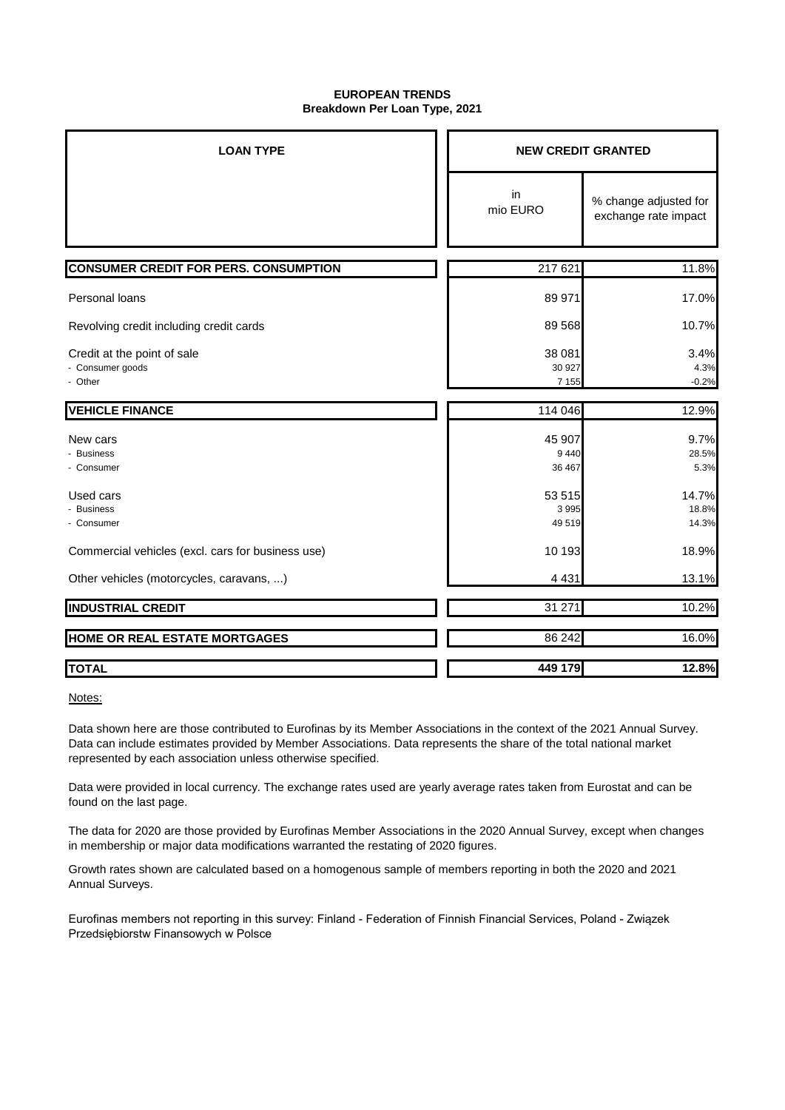#### **EUROPEAN TRENDS Breakdown Per Loan Type, 2021**

| <b>LOAN TYPE</b>                                           | <b>NEW CREDIT GRANTED</b>   |                                               |  |
|------------------------------------------------------------|-----------------------------|-----------------------------------------------|--|
|                                                            | in<br>mio EURO              | % change adjusted for<br>exchange rate impact |  |
| <b>CONSUMER CREDIT FOR PERS. CONSUMPTION</b>               | 217 621                     | 11.8%                                         |  |
| Personal loans                                             | 89 971                      | 17.0%                                         |  |
| Revolving credit including credit cards                    | 89 568                      | 10.7%                                         |  |
| Credit at the point of sale<br>- Consumer goods<br>- Other | 38 081<br>30 927<br>7 1 5 5 | 3.4%<br>4.3%<br>$-0.2%$                       |  |
| <b>VEHICLE FINANCE</b>                                     | 114 046                     | 12.9%                                         |  |
| New cars<br><b>Business</b><br>- Consumer                  | 45 907<br>9 4 4 0<br>36 467 | 9.7%<br>28.5%<br>5.3%                         |  |
| Used cars<br>- Business<br>- Consumer                      | 53 515<br>3995<br>49519     | 14.7%<br>18.8%<br>14.3%                       |  |
| Commercial vehicles (excl. cars for business use)          | 10 193                      | 18.9%                                         |  |
| Other vehicles (motorcycles, caravans, )                   | 4 4 3 1                     | 13.1%                                         |  |
| <b>INDUSTRIAL CREDIT</b>                                   | 31 271                      | 10.2%                                         |  |
| HOME OR REAL ESTATE MORTGAGES                              | 86 24 2                     | 16.0%                                         |  |
| <b>TOTAL</b>                                               | 449 179                     | 12.8%                                         |  |

Notes:

Data shown here are those contributed to Eurofinas by its Member Associations in the context of the 2021 Annual Survey. Data can include estimates provided by Member Associations. Data represents the share of the total national market represented by each association unless otherwise specified.

Data were provided in local currency. The exchange rates used are yearly average rates taken from Eurostat and can be found on the last page.

The data for 2020 are those provided by Eurofinas Member Associations in the 2020 Annual Survey, except when changes in membership or major data modifications warranted the restating of 2020 figures.

Growth rates shown are calculated based on a homogenous sample of members reporting in both the 2020 and 2021 Annual Surveys.

Eurofinas members not reporting in this survey: Finland - Federation of Finnish Financial Services, Poland - Związek Przedsiębiorstw Finansowych w Polsce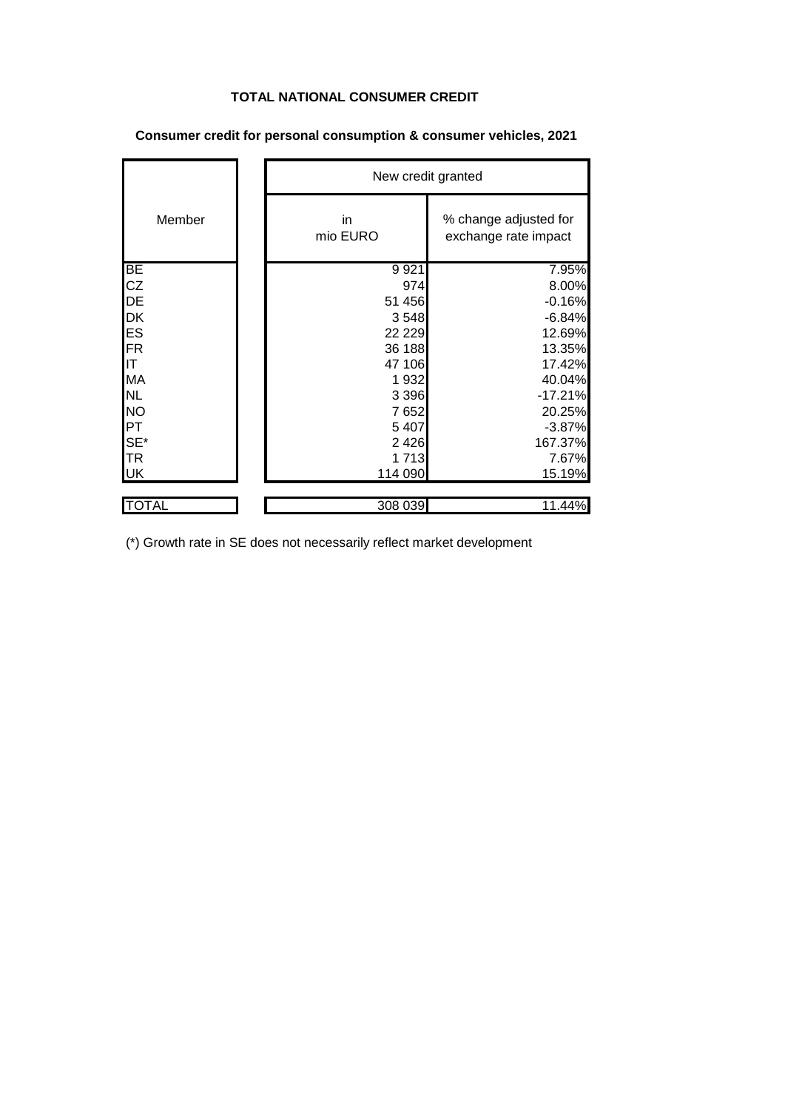# **TOTAL NATIONAL CONSUMER CREDIT**

|           | New credit granted |                                               |  |
|-----------|--------------------|-----------------------------------------------|--|
| Member    | in<br>mio EURO     | % change adjusted for<br>exchange rate impact |  |
| BE        | 9 9 21             | 7.95%                                         |  |
| <b>CZ</b> | 974                | 8.00%                                         |  |
| DE        | 51 456             | $-0.16%$                                      |  |
| <b>DK</b> | 3548               | $-6.84%$                                      |  |
| <b>ES</b> | 22 2 2 9           | 12.69%                                        |  |
| FR        | 36 188             | 13.35%                                        |  |
| IT        | 47 106             | 17.42%                                        |  |
| <b>MA</b> | 1932               | 40.04%                                        |  |
| <b>NL</b> | 3 3 9 6            | $-17.21%$                                     |  |
| <b>NO</b> | 7 6 5 2            | 20.25%                                        |  |
| PT        | 5 4 0 7            | $-3.87%$                                      |  |
| SE*       | 2 4 2 6            | 167.37%                                       |  |
| <b>TR</b> | 1 7 1 3            | 7.67%                                         |  |
| <b>UK</b> | 114 090            | 15.19%                                        |  |
| TOTAL     | 308 039            | 11.44%                                        |  |

## **Consumer credit for personal consumption & consumer vehicles, 2021**

(\*) Growth rate in SE does not necessarily reflect market development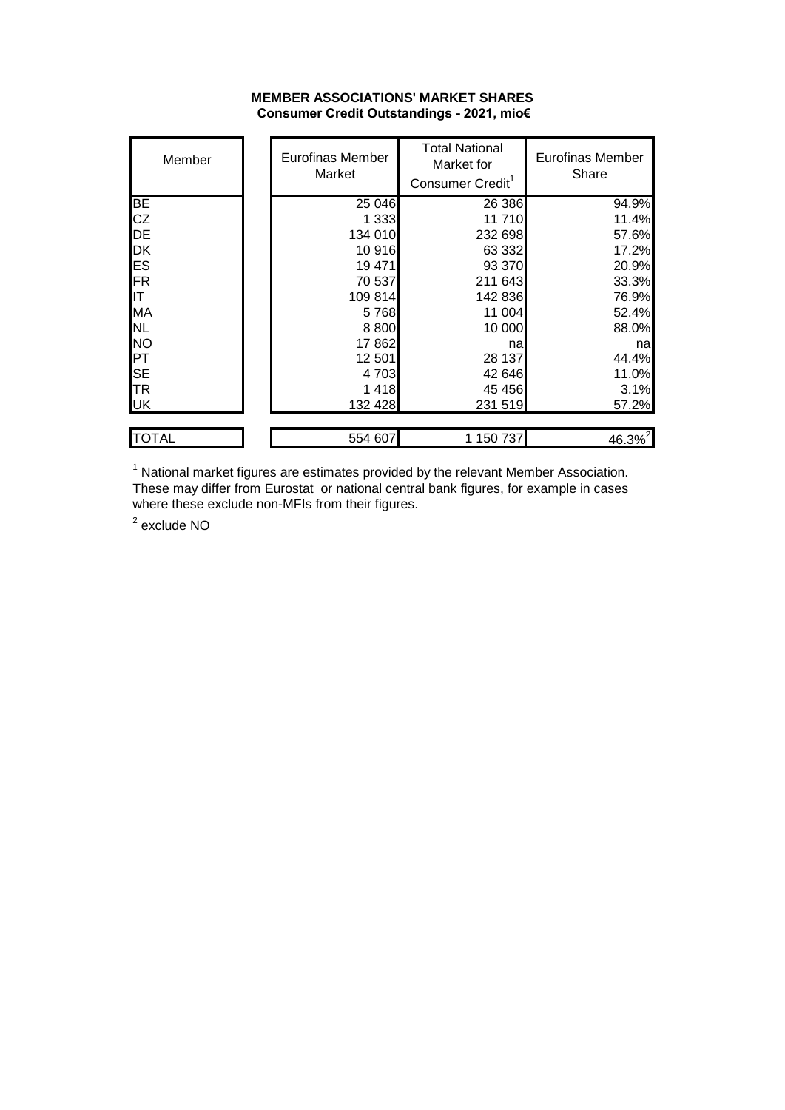#### **MEMBER ASSOCIATIONS' MARKET SHARES Consumer Credit Outstandings - 2021, mio€**

| Member      | Eurofinas Member<br>Market | <b>Total National</b><br>Market for<br>Consumer Credit <sup>1</sup> | Eurofinas Member<br>Share |
|-------------|----------------------------|---------------------------------------------------------------------|---------------------------|
| <b>BE</b>   | 25 046                     | 26 386                                                              | 94.9%                     |
| <b>CZ</b>   | 1 3 3 3                    | 11710                                                               | 11.4%                     |
| DE          | 134 010                    | 232 698                                                             | 57.6%                     |
| <b>DK</b>   | 10916                      | 63 332                                                              | 17.2%                     |
| ES          | 19 471                     | 93 370                                                              | 20.9%                     |
| FR          | 70 537                     | 211 643                                                             | 33.3%                     |
| IIT         | 109 814                    | 142 836                                                             | 76.9%                     |
| <b>MA</b>   | 5768                       | 11 004                                                              | 52.4%                     |
| <b>NL</b>   | 8800                       | 10 000                                                              | 88.0%                     |
| <b>NO</b>   | 17862                      | na                                                                  | nal                       |
| <b>PT</b>   | 12 501                     | 28 137                                                              | 44.4%                     |
| <b>SE</b>   | 4703                       | 42 646                                                              | 11.0%                     |
| <b>I</b> TR | 1418                       | 45 45 6                                                             | 3.1%                      |
| UK          | 132 428                    | 231 519                                                             | 57.2%                     |
| ITOTAL      | 554 607                    | 1 150 737                                                           | $46.3\%$ <sup>2</sup>     |

 $1$  National market figures are estimates provided by the relevant Member Association. These may differ from Eurostat or national central bank figures, for example in cases where these exclude non-MFIs from their figures.

<sup>2</sup> exclude NO